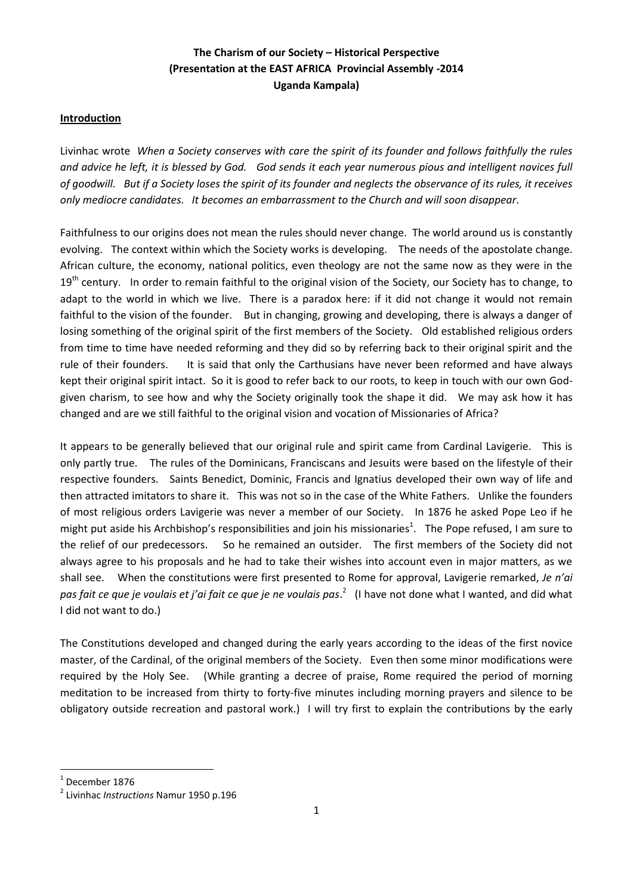# **The Charism of our Society – Historical Perspective (Presentation at the EAST AFRICA Provincial Assembly -2014 Uganda Kampala)**

## **Introduction**

Livinhac wrote *When a Society conserves with care the spirit of its founder and follows faithfully the rules and advice he left, it is blessed by God. God sends it each year numerous pious and intelligent novices full of goodwill. But if a Society loses the spirit of its founder and neglects the observance of its rules, it receives only mediocre candidates. It becomes an embarrassment to the Church and will soon disappear*.

Faithfulness to our origins does not mean the rules should never change. The world around us is constantly evolving. The context within which the Society works is developing. The needs of the apostolate change. African culture, the economy, national politics, even theology are not the same now as they were in the  $19<sup>th</sup>$  century. In order to remain faithful to the original vision of the Society, our Society has to change, to adapt to the world in which we live. There is a paradox here: if it did not change it would not remain faithful to the vision of the founder. But in changing, growing and developing, there is always a danger of losing something of the original spirit of the first members of the Society. Old established religious orders from time to time have needed reforming and they did so by referring back to their original spirit and the rule of their founders. It is said that only the Carthusians have never been reformed and have always kept their original spirit intact. So it is good to refer back to our roots, to keep in touch with our own Godgiven charism, to see how and why the Society originally took the shape it did. We may ask how it has changed and are we still faithful to the original vision and vocation of Missionaries of Africa?

It appears to be generally believed that our original rule and spirit came from Cardinal Lavigerie. This is only partly true. The rules of the Dominicans, Franciscans and Jesuits were based on the lifestyle of their respective founders. Saints Benedict, Dominic, Francis and Ignatius developed their own way of life and then attracted imitators to share it. This was not so in the case of the White Fathers. Unlike the founders of most religious orders Lavigerie was never a member of our Society. In 1876 he asked Pope Leo if he might put aside his Archbishop's responsibilities and join his missionaries<sup>1</sup>. The Pope refused, I am sure to the relief of our predecessors. So he remained an outsider. The first members of the Society did not always agree to his proposals and he had to take their wishes into account even in major matters, as we shall see. When the constitutions were first presented to Rome for approval, Lavigerie remarked, *Je n'ai pas fait ce que je voulais et j'ai fait ce que je ne voulais pas*. 2 (I have not done what I wanted, and did what I did not want to do.)

The Constitutions developed and changed during the early years according to the ideas of the first novice master, of the Cardinal, of the original members of the Society. Even then some minor modifications were required by the Holy See. (While granting a decree of praise, Rome required the period of morning meditation to be increased from thirty to forty-five minutes including morning prayers and silence to be obligatory outside recreation and pastoral work.) I will try first to explain the contributions by the early

 $<sup>1</sup>$  December 1876</sup>

<sup>2</sup> Livinhac *Instructions* Namur 1950 p.196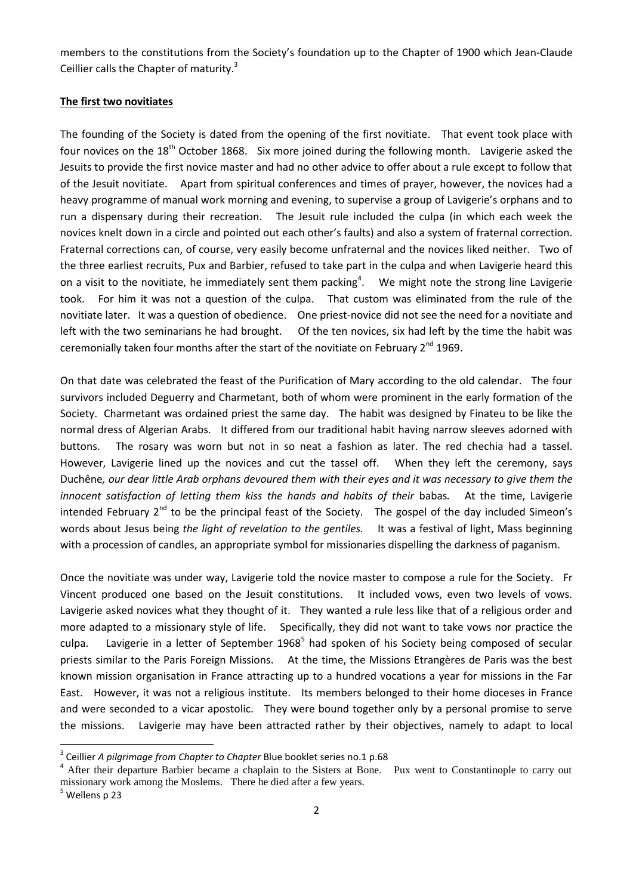members to the constitutions from the Society's foundation up to the Chapter of 1900 which Jean-Claude Ceillier calls the Chapter of maturity.<sup>3</sup>

#### **The first two novitiates**

The founding of the Society is dated from the opening of the first novitiate. That event took place with four novices on the 18<sup>th</sup> October 1868. Six more joined during the following month. Lavigerie asked the Jesuits to provide the first novice master and had no other advice to offer about a rule except to follow that of the Jesuit novitiate. Apart from spiritual conferences and times of prayer, however, the novices had a heavy programme of manual work morning and evening, to supervise a group of Lavigerie's orphans and to run a dispensary during their recreation. The Jesuit rule included the culpa (in which each week the novices knelt down in a circle and pointed out each other's faults) and also a system of fraternal correction. Fraternal corrections can, of course, very easily become unfraternal and the novices liked neither. Two of the three earliest recruits, Pux and Barbier, refused to take part in the culpa and when Lavigerie heard this on a visit to the novitiate, he immediately sent them packing<sup>4</sup>. We might note the strong line Lavigerie took. For him it was not a question of the culpa. That custom was eliminated from the rule of the novitiate later. It was a question of obedience. One priest-novice did not see the need for a novitiate and left with the two seminarians he had brought. Of the ten novices, six had left by the time the habit was ceremonially taken four months after the start of the novitiate on February  $2^{nd}$  1969.

On that date was celebrated the feast of the Purification of Mary according to the old calendar. The four survivors included Deguerry and Charmetant, both of whom were prominent in the early formation of the Society. Charmetant was ordained priest the same day. The habit was designed by Finateu to be like the normal dress of Algerian Arabs. It differed from our traditional habit having narrow sleeves adorned with buttons. The rosary was worn but not in so neat a fashion as later. The red chechia had a tassel. However, Lavigerie lined up the novices and cut the tassel off. When they left the ceremony, says Duchêne*, our dear little Arab orphans devoured them with their eyes and it was necessary to give them the innocent satisfaction of letting them kiss the hands and habits of their babas.* At the time, Lavigerie intended February  $2^{nd}$  to be the principal feast of the Society. The gospel of the day included Simeon's words about Jesus being *the light of revelation to the gentiles.* It was a festival of light, Mass beginning with a procession of candles, an appropriate symbol for missionaries dispelling the darkness of paganism.

Once the novitiate was under way, Lavigerie told the novice master to compose a rule for the Society. Fr Vincent produced one based on the Jesuit constitutions. It included vows, even two levels of vows. Lavigerie asked novices what they thought of it. They wanted a rule less like that of a religious order and more adapted to a missionary style of life. Specifically, they did not want to take vows nor practice the culpa. Lavigerie in a letter of September 1968<sup>5</sup> had spoken of his Society being composed of secular priests similar to the Paris Foreign Missions. At the time, the Missions Etrangères de Paris was the best known mission organisation in France attracting up to a hundred vocations a year for missions in the Far East. However, it was not a religious institute. Its members belonged to their home dioceses in France and were seconded to a vicar apostolic. They were bound together only by a personal promise to serve the missions. Lavigerie may have been attracted rather by their objectives, namely to adapt to local

<sup>3</sup> Ceillier *A pilgrimage from Chapter to Chapter* Blue booklet series no.1 p.68

<sup>&</sup>lt;sup>4</sup> After their departure Barbier became a chaplain to the Sisters at Bone. Pux went to Constantinople to carry out missionary work among the Moslems. There he died after a few years.

<sup>&</sup>lt;sup>5</sup> Wellens p 23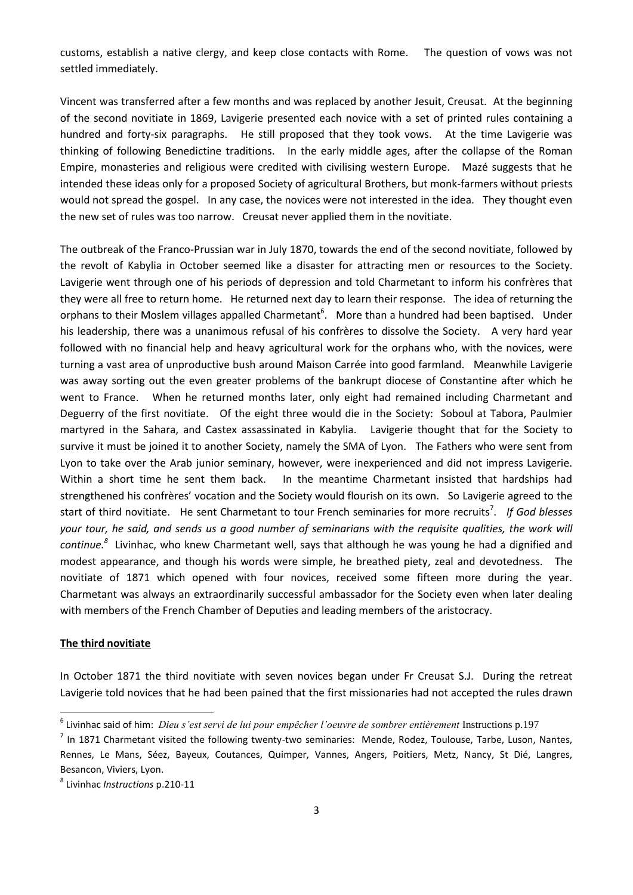customs, establish a native [clergy,](http://en.wikipedia.org/wiki/Clergy) and keep close contacts with Rome. The question of vows was not settled immediately.

Vincent was transferred after a few months and was replaced by another Jesuit, Creusat. At the beginning of the second novitiate in 1869, Lavigerie presented each novice with a set of printed rules containing a hundred and forty-six paragraphs. He still proposed that they took vows. At the time Lavigerie was thinking of following Benedictine traditions. In the early middle ages, after the collapse of the Roman Empire, monasteries and religious were credited with civilising western Europe. Mazé suggests that he intended these ideas only for a proposed Society of agricultural Brothers, but monk-farmers without priests would not spread the gospel. In any case, the novices were not interested in the idea. They thought even the new set of rules was too narrow. Creusat never applied them in the novitiate.

The outbreak of the Franco-Prussian war in July 1870, towards the end of the second novitiate, followed by the revolt of Kabylia in October seemed like a disaster for attracting men or resources to the Society. Lavigerie went through one of his periods of depression and told Charmetant to inform his confrères that they were all free to return home. He returned next day to learn their response. The idea of returning the orphans to their Moslem villages appalled Charmetant<sup>6</sup>. More than a hundred had been baptised. Under his leadership, there was a unanimous refusal of his confrères to dissolve the Society. A very hard year followed with no financial help and heavy agricultural work for the orphans who, with the novices, were turning a vast area of unproductive bush around Maison Carrée into good farmland. Meanwhile Lavigerie was away sorting out the even greater problems of the bankrupt diocese of Constantine after which he went to France. When he returned months later, only eight had remained including Charmetant and Deguerry of the first novitiate. Of the eight three would die in the Society: Soboul at Tabora, Paulmier martyred in the Sahara, and Castex assassinated in Kabylia. Lavigerie thought that for the Society to survive it must be joined it to another Society, namely the SMA of Lyon. The Fathers who were sent from Lyon to take over the Arab junior seminary, however, were inexperienced and did not impress Lavigerie. Within a short time he sent them back. In the meantime Charmetant insisted that hardships had strengthened his confrères' vocation and the Society would flourish on its own. So Lavigerie agreed to the start of third novitiate. He sent Charmetant to tour French seminaries for more recruits<sup>7</sup>. If God blesses *your tour, he said, and sends us a good number of seminarians with the requisite qualities, the work will*  continue.<sup>8</sup> Livinhac, who knew Charmetant well, says that although he was young he had a dignified and modest appearance, and though his words were simple, he breathed piety, zeal and devotedness. The novitiate of 1871 which opened with four novices, received some fifteen more during the year. Charmetant was always an extraordinarily successful ambassador for the Society even when later dealing with members of the French Chamber of Deputies and leading members of the aristocracy.

#### **The third novitiate**

1

In October 1871 the third novitiate with seven novices began under Fr Creusat S.J. During the retreat Lavigerie told novices that he had been pained that the first missionaries had not accepted the rules drawn

<sup>&</sup>lt;sup>6</sup> Livinhac said of him: *Dieu s'est servi de lui pour empêcher l'oeuvre de sombrer entièrement* Instructions p.197

 $<sup>7</sup>$  In 1871 Charmetant visited the following twenty-two seminaries: Mende, Rodez, Toulouse, Tarbe, Luson, Nantes,</sup> Rennes, Le Mans, Séez, Bayeux, Coutances, Quimper, Vannes, Angers, Poitiers, Metz, Nancy, St Dié, Langres, Besancon, Viviers, Lyon.

<sup>8</sup> Livinhac *Instructions* p.210-11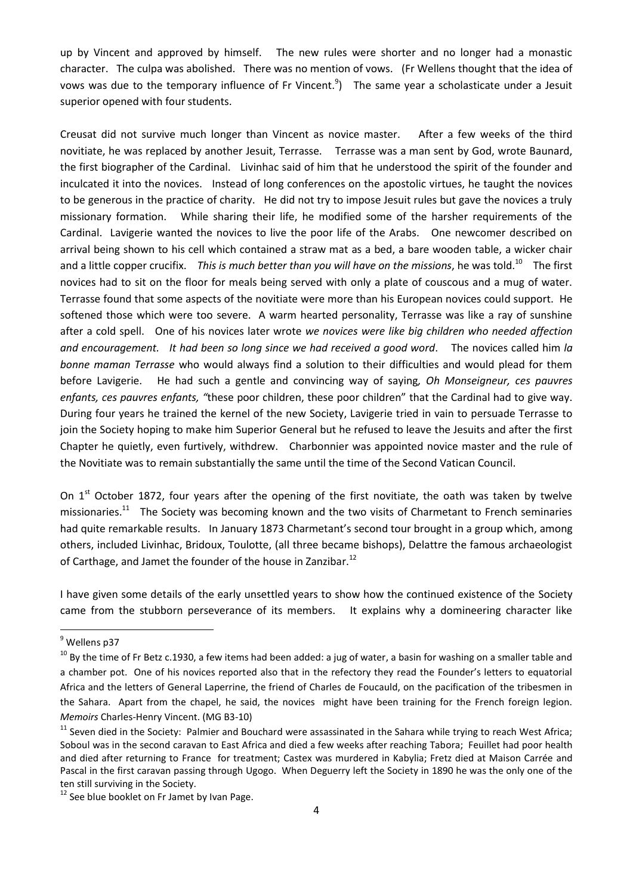up by Vincent and approved by himself. The new rules were shorter and no longer had a monastic character. The culpa was abolished. There was no mention of vows. (Fr Wellens thought that the idea of vows was due to the temporary influence of Fr Vincent.<sup>9</sup>) The same year a scholasticate under a Jesuit superior opened with four students.

Creusat did not survive much longer than Vincent as novice master. After a few weeks of the third novitiate, he was replaced by another Jesuit, Terrasse. Terrasse was a man sent by God, wrote Baunard, the first biographer of the Cardinal. Livinhac said of him that he understood the spirit of the founder and inculcated it into the novices. Instead of long conferences on the apostolic virtues, he taught the novices to be generous in the practice of charity. He did not try to impose Jesuit rules but gave the novices a truly missionary formation. While sharing their life, he modified some of the harsher requirements of the Cardinal. Lavigerie wanted the novices to live the poor life of the Arabs. One newcomer described on arrival being shown to his cell which contained a straw mat as a bed, a bare wooden table, a wicker chair and a little copper crucifix. This is much better than you will have on the missions, he was told.<sup>10</sup> The first novices had to sit on the floor for meals being served with only a plate of couscous and a mug of water. Terrasse found that some aspects of the novitiate were more than his European novices could support. He softened those which were too severe. A warm hearted personality, Terrasse was like a ray of sunshine after a cold spell. One of his novices later wrote *we novices were like big children who needed affection and encouragement. It had been so long since we had received a good word*. The novices called him *la bonne maman Terrasse* who would always find a solution to their difficulties and would plead for them before Lavigerie. He had such a gentle and convincing way of saying*, Oh Monseigneur, ces pauvres enfants, ces pauvres enfants, "*these poor children, these poor children" that the Cardinal had to give way. During four years he trained the kernel of the new Society, Lavigerie tried in vain to persuade Terrasse to join the Society hoping to make him Superior General but he refused to leave the Jesuits and after the first Chapter he quietly, even furtively, withdrew. Charbonnier was appointed novice master and the rule of the Novitiate was to remain substantially the same until the time of the Second Vatican Council.

On  $1<sup>st</sup>$  October 1872, four years after the opening of the first novitiate, the oath was taken by twelve missionaries.<sup>11</sup> The Society was becoming known and the two visits of Charmetant to French seminaries had quite remarkable results. In January 1873 Charmetant's second tour brought in a group which, among others, included Livinhac, Bridoux, Toulotte, (all three became bishops), Delattre the famous archaeologist of Carthage, and Jamet the founder of the house in Zanzibar.<sup>12</sup>

I have given some details of the early unsettled years to show how the continued existence of the Society came from the stubborn perseverance of its members. It explains why a domineering character like

<sup>&</sup>lt;sup>9</sup> Wellens p37

 $10$  By the time of Fr Betz c.1930, a few items had been added: a jug of water, a basin for washing on a smaller table and a chamber pot. One of his novices reported also that in the refectory they read the Founder's letters to equatorial Africa and the letters of General Laperrine, the friend of Charles de Foucauld, on the pacification of the tribesmen in the Sahara. Apart from the chapel, he said, the novices might have been training for the French foreign legion. *Memoirs* Charles-Henry Vincent. (MG B3-10)

<sup>&</sup>lt;sup>11</sup> Seven died in the Society: Palmier and Bouchard were assassinated in the Sahara while trying to reach West Africa; Soboul was in the second caravan to East Africa and died a few weeks after reaching Tabora; Feuillet had poor health and died after returning to France for treatment; Castex was murdered in Kabylia; Fretz died at Maison Carrée and Pascal in the first caravan passing through Ugogo. When Deguerry left the Society in 1890 he was the only one of the ten still surviving in the Society.

 $12$  See blue booklet on Fr Jamet by Ivan Page.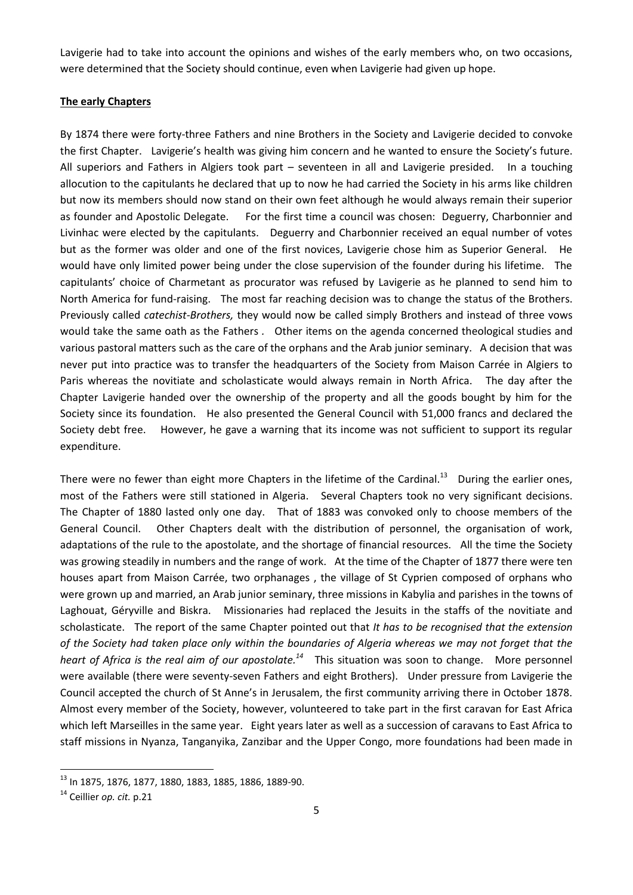Lavigerie had to take into account the opinions and wishes of the early members who, on two occasions, were determined that the Society should continue, even when Lavigerie had given up hope.

## **The early Chapters**

By 1874 there were forty-three Fathers and nine Brothers in the Society and Lavigerie decided to convoke the first Chapter. Lavigerie's health was giving him concern and he wanted to ensure the Society's future. All superiors and Fathers in Algiers took part – seventeen in all and Lavigerie presided. In a touching allocution to the capitulants he declared that up to now he had carried the Society in his arms like children but now its members should now stand on their own feet although he would always remain their superior as founder and Apostolic Delegate. For the first time a council was chosen: Deguerry, Charbonnier and Livinhac were elected by the capitulants. Deguerry and Charbonnier received an equal number of votes but as the former was older and one of the first novices, Lavigerie chose him as Superior General. He would have only limited power being under the close supervision of the founder during his lifetime. The capitulants' choice of Charmetant as procurator was refused by Lavigerie as he planned to send him to North America for fund-raising. The most far reaching decision was to change the status of the Brothers. Previously called *catechist-Brothers,* they would now be called simply Brothers and instead of three vows would take the same oath as the Fathers *.* Other items on the agenda concerned theological studies and various pastoral matters such as the care of the orphans and the Arab junior seminary. A decision that was never put into practice was to transfer the headquarters of the Society from Maison Carrée in Algiers to Paris whereas the novitiate and scholasticate would always remain in North Africa. The day after the Chapter Lavigerie handed over the ownership of the property and all the goods bought by him for the Society since its foundation. He also presented the General Council with 51,000 francs and declared the Society debt free. However, he gave a warning that its income was not sufficient to support its regular expenditure.

There were no fewer than eight more Chapters in the lifetime of the Cardinal. $^{13}$  During the earlier ones, most of the Fathers were still stationed in Algeria. Several Chapters took no very significant decisions. The Chapter of 1880 lasted only one day. That of 1883 was convoked only to choose members of the General Council. Other Chapters dealt with the distribution of personnel, the organisation of work, adaptations of the rule to the apostolate, and the shortage of financial resources. All the time the Society was growing steadily in numbers and the range of work. At the time of the Chapter of 1877 there were ten houses apart from Maison Carrée, two orphanages , the village of St Cyprien composed of orphans who were grown up and married, an Arab junior seminary, three missions in Kabylia and parishes in the towns of Laghouat, Géryville and Biskra. Missionaries had replaced the Jesuits in the staffs of the novitiate and scholasticate. The report of the same Chapter pointed out that *It has to be recognised that the extension of the Society had taken place only within the boundaries of Algeria whereas we may not forget that the*  heart of Africa is the real aim of our apostolate.<sup>14</sup> This situation was soon to change. More personnel were available (there were seventy-seven Fathers and eight Brothers). Under pressure from Lavigerie the Council accepted the church of St Anne's in Jerusalem, the first community arriving there in October 1878. Almost every member of the Society, however, volunteered to take part in the first caravan for East Africa which left Marseilles in the same year. Eight years later as well as a succession of caravans to East Africa to staff missions in Nyanza, Tanganyika, Zanzibar and the Upper Congo, more foundations had been made in

<sup>13</sup> In 1875, 1876, 1877, 1880, 1883, 1885, 1886, 1889-90.

<sup>14</sup> Ceillier *op. cit.* p.21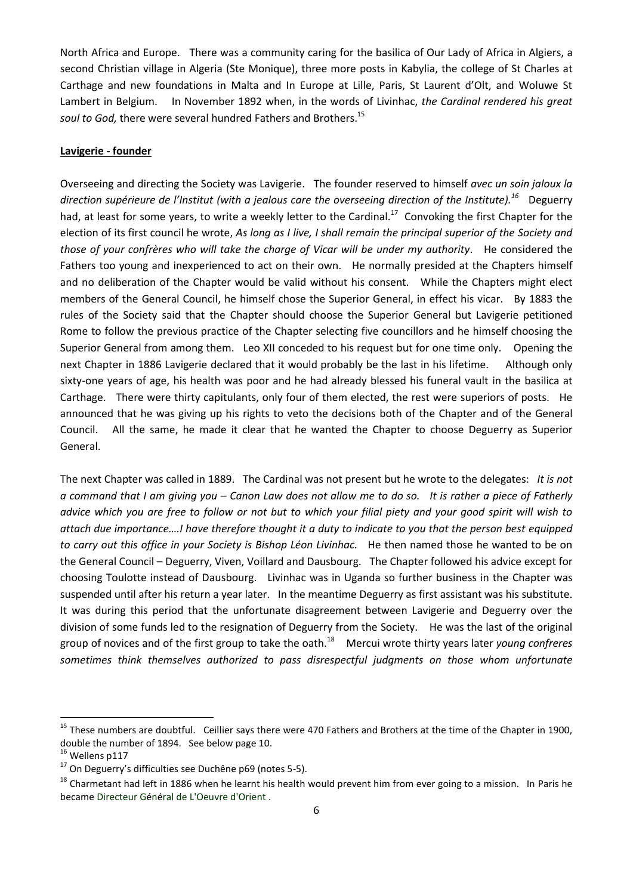North Africa and Europe. There was a community caring for the basilica of Our Lady of Africa in Algiers, a second Christian village in Algeria (Ste Monique), three more posts in Kabylia, the college of St Charles at Carthage and new foundations in Malta and In Europe at Lille, Paris, St Laurent d'Olt, and Woluwe St Lambert in Belgium. In November 1892 when, in the words of Livinhac, *the Cardinal rendered his great soul to God,* there were several hundred Fathers and Brothers. 15

#### **Lavigerie - founder**

Overseeing and directing the Society was Lavigerie. The founder reserved to himself *avec un soin jaloux la direction supérieure de l'Institut (with a jealous care the overseeing direction of the Institute).<sup>16</sup>* Deguerry had, at least for some years, to write a weekly letter to the Cardinal.<sup>17</sup> Convoking the first Chapter for the election of its first council he wrote, *As long as I live, I shall remain the principal superior of the Society and those of your confrères who will take the charge of Vicar will be under my authority*. He considered the Fathers too young and inexperienced to act on their own. He normally presided at the Chapters himself and no deliberation of the Chapter would be valid without his consent. While the Chapters might elect members of the General Council, he himself chose the Superior General, in effect his vicar. By 1883 the rules of the Society said that the Chapter should choose the Superior General but Lavigerie petitioned Rome to follow the previous practice of the Chapter selecting five councillors and he himself choosing the Superior General from among them. Leo XII conceded to his request but for one time only. Opening the next Chapter in 1886 Lavigerie declared that it would probably be the last in his lifetime. Although only sixty-one years of age, his health was poor and he had already blessed his funeral vault in the basilica at Carthage. There were thirty capitulants, only four of them elected, the rest were superiors of posts. He announced that he was giving up his rights to veto the decisions both of the Chapter and of the General Council. All the same, he made it clear that he wanted the Chapter to choose Deguerry as Superior General.

The next Chapter was called in 1889. The Cardinal was not present but he wrote to the delegates: *It is not a command that I am giving you – Canon Law does not allow me to do so. It is rather a piece of Fatherly advice which you are free to follow or not but to which your filial piety and your good spirit will wish to attach due importance....I have therefore thought it a duty to indicate to you that the person best equipped to carry out this office in your Society is Bishop Léon Livinhac.* He then named those he wanted to be on the General Council – Deguerry, Viven, Voillard and Dausbourg. The Chapter followed his advice except for choosing Toulotte instead of Dausbourg. Livinhac was in Uganda so further business in the Chapter was suspended until after his return a year later. In the meantime Deguerry as first assistant was his substitute. It was during this period that the unfortunate disagreement between Lavigerie and Deguerry over the division of some funds led to the resignation of Deguerry from the Society. He was the last of the original group of novices and of the first group to take the oath.<sup>18</sup> Mercui wrote thirty years later *young confreres sometimes think themselves authorized to pass disrespectful judgments on those whom unfortunate* 

<sup>&</sup>lt;sup>15</sup> These numbers are doubtful. Ceillier says there were 470 Fathers and Brothers at the time of the Chapter in 1900, double the number of 1894. See below page 10.

<sup>&</sup>lt;sup>16</sup> Wellens p117

<sup>17</sup> On Deguerry's difficulties see Duchêne p69 (notes 5-5).

<sup>&</sup>lt;sup>18</sup> Charmetant had left in 1886 when he learnt his health would prevent him from ever going to a mission. In Paris he became Directeur Général de L'Oeuvre d'Orient .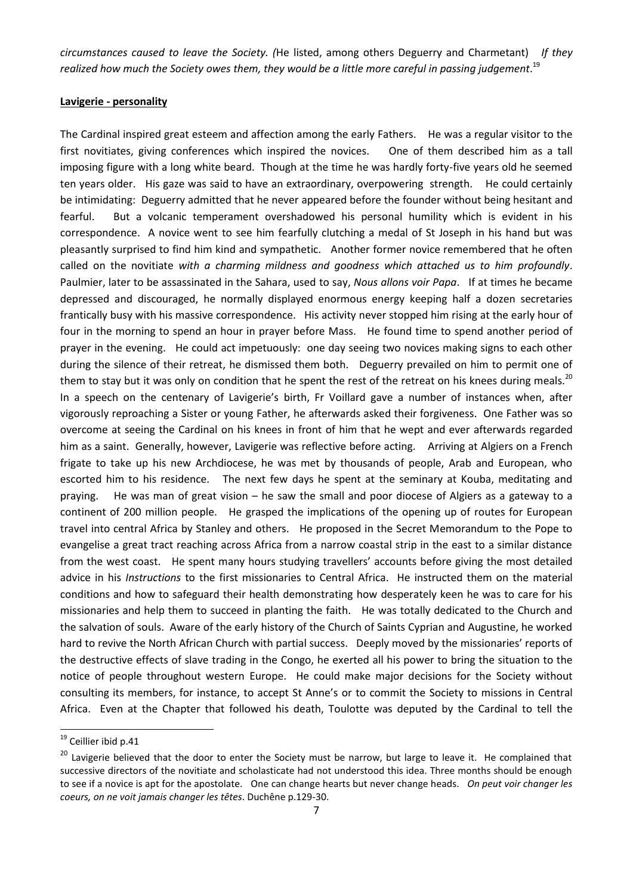*circumstances caused to leave the Society. (*He listed, among others Deguerry and Charmetant) *If they realized how much the Society owes them, they would be a little more careful in passing judgement*. 19

## **Lavigerie - personality**

The Cardinal inspired great esteem and affection among the early Fathers. He was a regular visitor to the first novitiates, giving conferences which inspired the novices. One of them described him as a tall imposing figure with a long white beard. Though at the time he was hardly forty-five years old he seemed ten years older. His gaze was said to have an extraordinary, overpowering strength. He could certainly be intimidating: Deguerry admitted that he never appeared before the founder without being hesitant and fearful. But a volcanic temperament overshadowed his personal humility which is evident in his correspondence. A novice went to see him fearfully clutching a medal of St Joseph in his hand but was pleasantly surprised to find him kind and sympathetic. Another former novice remembered that he often called on the novitiate *with a charming mildness and goodness which attached us to him profoundly*. Paulmier, later to be assassinated in the Sahara, used to say, *Nous allons voir Papa*. If at times he became depressed and discouraged, he normally displayed enormous energy keeping half a dozen secretaries frantically busy with his massive correspondence. His activity never stopped him rising at the early hour of four in the morning to spend an hour in prayer before Mass. He found time to spend another period of prayer in the evening. He could act impetuously: one day seeing two novices making signs to each other during the silence of their retreat, he dismissed them both. Deguerry prevailed on him to permit one of them to stay but it was only on condition that he spent the rest of the retreat on his knees during meals.<sup>20</sup> In a speech on the centenary of Lavigerie's birth, Fr Voillard gave a number of instances when, after vigorously reproaching a Sister or young Father, he afterwards asked their forgiveness. One Father was so overcome at seeing the Cardinal on his knees in front of him that he wept and ever afterwards regarded him as a saint. Generally, however, Lavigerie was reflective before acting. Arriving at Algiers on a French frigate to take up his new Archdiocese, he was met by thousands of people, Arab and European, who escorted him to his residence. The next few days he spent at the seminary at Kouba, meditating and praying. He was man of great vision – he saw the small and poor diocese of Algiers as a gateway to a continent of 200 million people. He grasped the implications of the opening up of routes for European travel into central Africa by Stanley and others. He proposed in the Secret Memorandum to the Pope to evangelise a great tract reaching across Africa from a narrow coastal strip in the east to a similar distance from the west coast. He spent many hours studying travellers' accounts before giving the most detailed advice in his *Instructions* to the first missionaries to Central Africa. He instructed them on the material conditions and how to safeguard their health demonstrating how desperately keen he was to care for his missionaries and help them to succeed in planting the faith. He was totally dedicated to the Church and the salvation of souls. Aware of the early history of the Church of Saints Cyprian and Augustine, he worked hard to revive the North African Church with partial success. Deeply moved by the missionaries' reports of the destructive effects of slave trading in the Congo, he exerted all his power to bring the situation to the notice of people throughout western Europe. He could make major decisions for the Society without consulting its members, for instance, to accept St Anne's or to commit the Society to missions in Central Africa. Even at the Chapter that followed his death, Toulotte was deputed by the Cardinal to tell the

<sup>&</sup>lt;sup>19</sup> Ceillier ibid p.41

<sup>&</sup>lt;sup>20</sup> Lavigerie believed that the door to enter the Society must be narrow, but large to leave it. He complained that successive directors of the novitiate and scholasticate had not understood this idea. Three months should be enough to see if a novice is apt for the apostolate. One can change hearts but never change heads. *On peut voir changer les coeurs, on ne voit jamais changer les têtes*. Duchêne p.129-30.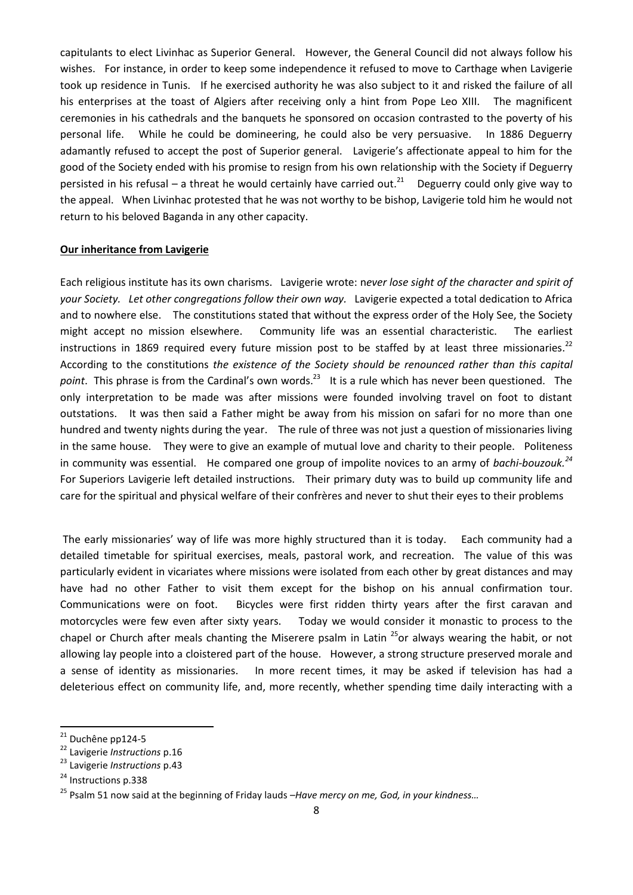capitulants to elect Livinhac as Superior General. However, the General Council did not always follow his wishes. For instance, in order to keep some independence it refused to move to Carthage when Lavigerie took up residence in Tunis. If he exercised authority he was also subject to it and risked the failure of all his enterprises at the toast of Algiers after receiving only a hint from Pope Leo XIII. The magnificent ceremonies in his cathedrals and the banquets he sponsored on occasion contrasted to the poverty of his personal life. While he could be domineering, he could also be very persuasive. In 1886 Deguerry adamantly refused to accept the post of Superior general. Lavigerie's affectionate appeal to him for the good of the Society ended with his promise to resign from his own relationship with the Society if Deguerry persisted in his refusal – a threat he would certainly have carried out. $^{21}$  Deguerry could only give way to the appeal. When Livinhac protested that he was not worthy to be bishop, Lavigerie told him he would not return to his beloved Baganda in any other capacity.

#### **Our inheritance from Lavigerie**

Each religious institute has its own charisms. Lavigerie wrote: n*ever lose sight of the character and spirit of your Society. Let other congregations follow their own way.* Lavigerie expected a total dedication to Africa and to nowhere else. The constitutions stated that without the express order of the Holy See, the Society might accept no mission elsewhere. Community life was an essential characteristic. The earliest instructions in 1869 required every future mission post to be staffed by at least three missionaries.<sup>22</sup> According to the constitutions *the existence of the Society should be renounced rather than this capital*  point. This phrase is from the Cardinal's own words.<sup>23</sup> It is a rule which has never been questioned. The only interpretation to be made was after missions were founded involving travel on foot to distant outstations. It was then said a Father might be away from his mission on safari for no more than one hundred and twenty nights during the year. The rule of three was not just a question of missionaries living in the same house. They were to give an example of mutual love and charity to their people. Politeness in community was essential. He compared one group of impolite novices to an army of bachi-bouzouk.<sup>24</sup> For Superiors Lavigerie left detailed instructions. Their primary duty was to build up community life and care for the spiritual and physical welfare of their confrères and never to shut their eyes to their problems

The early missionaries' way of life was more highly structured than it is today. Each community had a detailed timetable for spiritual exercises, meals, pastoral work, and recreation. The value of this was particularly evident in vicariates where missions were isolated from each other by great distances and may have had no other Father to visit them except for the bishop on his annual confirmation tour. Communications were on foot. Bicycles were first ridden thirty years after the first caravan and motorcycles were few even after sixty years. Today we would consider it monastic to process to the chapel or Church after meals chanting the Miserere psalm in Latin  $^{25}$ or always wearing the habit, or not allowing lay people into a cloistered part of the house. However, a strong structure preserved morale and a sense of identity as missionaries. In more recent times, it may be asked if television has had a deleterious effect on community life, and, more recently, whether spending time daily interacting with a

<sup>&</sup>lt;sup>21</sup> Duchêne pp124-5

<sup>22</sup> Lavigerie *Instructions* p.16

<sup>23</sup> Lavigerie *Instructions* p.43

<sup>&</sup>lt;sup>24</sup> Instructions p.338

<sup>25</sup> Psalm 51 now said at the beginning of Friday lauds –*Have mercy on me, God, in your kindness…*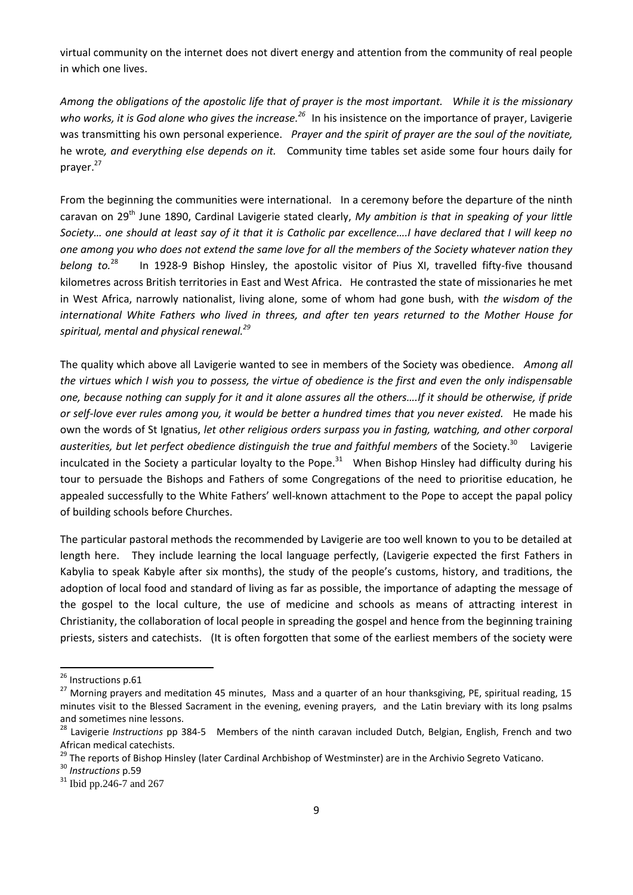virtual community on the internet does not divert energy and attention from the community of real people in which one lives.

*Among the obligations of the apostolic life that of prayer is the most important. While it is the missionary*  who works, it is God alone who gives the increase.<sup>26</sup> In his insistence on the importance of prayer, Lavigerie was transmitting his own personal experience. *Prayer and the spirit of prayer are the soul of the novitiate,*  he wrote*, and everything else depends on it.* Community time tables set aside some four hours daily for prayer.<sup>27</sup>

From the beginning the communities were international. In a ceremony before the departure of the ninth caravan on 29th June 1890, Cardinal Lavigerie stated clearly, *My ambition is that in speaking of your little Society… one should at least say of it that it is Catholic par excellence….I have declared that I will keep no one among you who does not extend the same love for all the members of the Society whatever nation they belong to.*<sup>28</sup> In 1928-9 Bishop Hinsley, the apostolic visitor of Pius XI, travelled fifty-five thousand kilometres across British territories in East and West Africa. He contrasted the state of missionaries he met in West Africa, narrowly nationalist, living alone, some of whom had gone bush, with *the wisdom of the international White Fathers who lived in threes, and after ten years returned to the Mother House for spiritual, mental and physical renewal.<sup>29</sup>*

The quality which above all Lavigerie wanted to see in members of the Society was obedience. *Among all the virtues which I wish you to possess, the virtue of obedience is the first and even the only indispensable one, because nothing can supply for it and it alone assures all the others….If it should be otherwise, if pride or self-love ever rules among you, it would be better a hundred times that you never existed.* He made his own the words of St Ignatius, *let other religious orders surpass you in fasting, watching, and other corporal*  austerities, but let perfect obedience distinguish the true and faithful members of the Society.<sup>30</sup> Lavigerie inculcated in the Society a particular loyalty to the Pope. $31$  When Bishop Hinsley had difficulty during his tour to persuade the Bishops and Fathers of some Congregations of the need to prioritise education, he appealed successfully to the White Fathers' well-known attachment to the Pope to accept the papal policy of building schools before Churches.

The particular pastoral methods the recommended by Lavigerie are too well known to you to be detailed at length here. They include learning the local language perfectly, (Lavigerie expected the first Fathers in Kabylia to speak Kabyle after six months), the study of the people's customs, history, and traditions, the adoption of local food and standard of living as far as possible, the importance of adapting the message of the gospel to the local culture, the use of medicine and schools as means of attracting interest in Christianity, the collaboration of local people in spreading the gospel and hence from the beginning training priests, sisters and catechists. (It is often forgotten that some of the earliest members of the society were

<sup>&</sup>lt;sup>26</sup> Instructions p.61

<sup>&</sup>lt;sup>27</sup> Morning prayers and meditation 45 minutes, Mass and a quarter of an hour thanksgiving, PE, spiritual reading, 15 minutes visit to the Blessed Sacrament in the evening, evening prayers, and the Latin breviary with its long psalms and sometimes nine lessons.

<sup>28</sup> Lavigerie *Instructions* pp 384-5 Members of the ninth caravan included Dutch, Belgian, English, French and two African medical catechists.

<sup>&</sup>lt;sup>29</sup> The reports of Bishop Hinsley (later Cardinal Archbishop of Westminster) are in the Archivio Segreto Vaticano.

<sup>30</sup> *Instructions* p.59

<sup>&</sup>lt;sup>31</sup> Ibid pp.246-7 and 267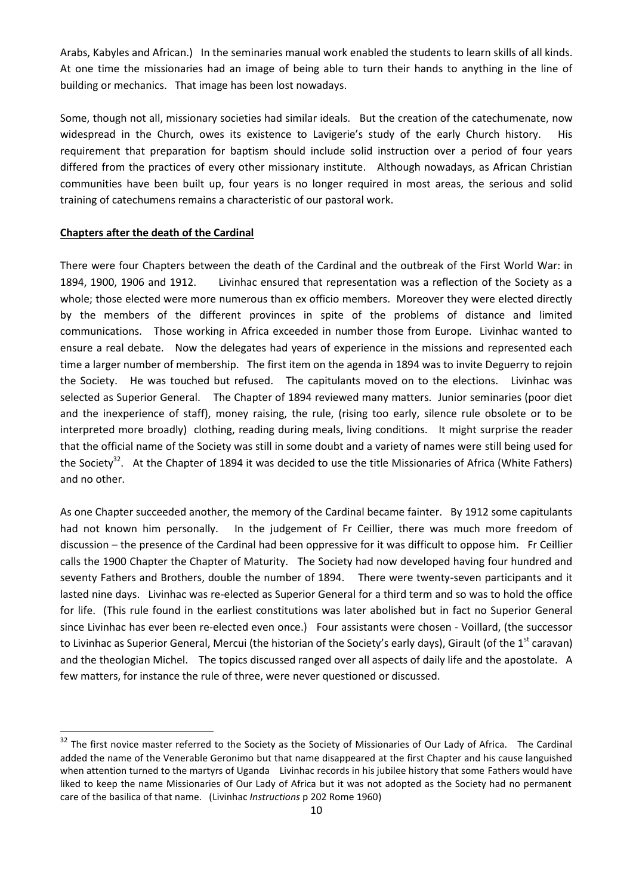Arabs, Kabyles and African.) In the seminaries manual work enabled the students to learn skills of all kinds. At one time the missionaries had an image of being able to turn their hands to anything in the line of building or mechanics. That image has been lost nowadays.

Some, though not all, missionary societies had similar ideals. But the creation of the catechumenate, now widespread in the Church, owes its existence to Lavigerie's study of the early Church history. His requirement that preparation for baptism should include solid instruction over a period of four years differed from the practices of every other missionary institute. Although nowadays, as African Christian communities have been built up, four years is no longer required in most areas, the serious and solid training of catechumens remains a characteristic of our pastoral work.

## **Chapters after the death of the Cardinal**

1

There were four Chapters between the death of the Cardinal and the outbreak of the First World War: in 1894, 1900, 1906 and 1912. Livinhac ensured that representation was a reflection of the Society as a whole; those elected were more numerous than ex officio members. Moreover they were elected directly by the members of the different provinces in spite of the problems of distance and limited communications. Those working in Africa exceeded in number those from Europe. Livinhac wanted to ensure a real debate. Now the delegates had years of experience in the missions and represented each time a larger number of membership. The first item on the agenda in 1894 was to invite Deguerry to rejoin the Society. He was touched but refused. The capitulants moved on to the elections. Livinhac was selected as Superior General. The Chapter of 1894 reviewed many matters. Junior seminaries (poor diet and the inexperience of staff), money raising, the rule, (rising too early, silence rule obsolete or to be interpreted more broadly) clothing, reading during meals, living conditions. It might surprise the reader that the official name of the Society was still in some doubt and a variety of names were still being used for the Society<sup>32</sup>. At the Chapter of 1894 it was decided to use the title Missionaries of Africa (White Fathers) and no other.

As one Chapter succeeded another, the memory of the Cardinal became fainter. By 1912 some capitulants had not known him personally. In the judgement of Fr Ceillier, there was much more freedom of discussion – the presence of the Cardinal had been oppressive for it was difficult to oppose him. Fr Ceillier calls the 1900 Chapter the Chapter of Maturity. The Society had now developed having four hundred and seventy Fathers and Brothers, double the number of 1894. There were twenty-seven participants and it lasted nine days. Livinhac was re-elected as Superior General for a third term and so was to hold the office for life. (This rule found in the earliest constitutions was later abolished but in fact no Superior General since Livinhac has ever been re-elected even once.) Four assistants were chosen - Voillard, (the successor to Livinhac as Superior General, Mercui (the historian of the Society's early days), Girault (of the 1<sup>st</sup> caravan) and the theologian Michel. The topics discussed ranged over all aspects of daily life and the apostolate. A few matters, for instance the rule of three, were never questioned or discussed.

<sup>&</sup>lt;sup>32</sup> The first novice master referred to the Society as the Society of Missionaries of Our Lady of Africa. The Cardinal added the name of the Venerable Geronimo but that name disappeared at the first Chapter and his cause languished when attention turned to the martyrs of Uganda Livinhac records in his jubilee history that some Fathers would have liked to keep the name Missionaries of Our Lady of Africa but it was not adopted as the Society had no permanent care of the basilica of that name. (Livinhac *Instructions* p 202 Rome 1960)